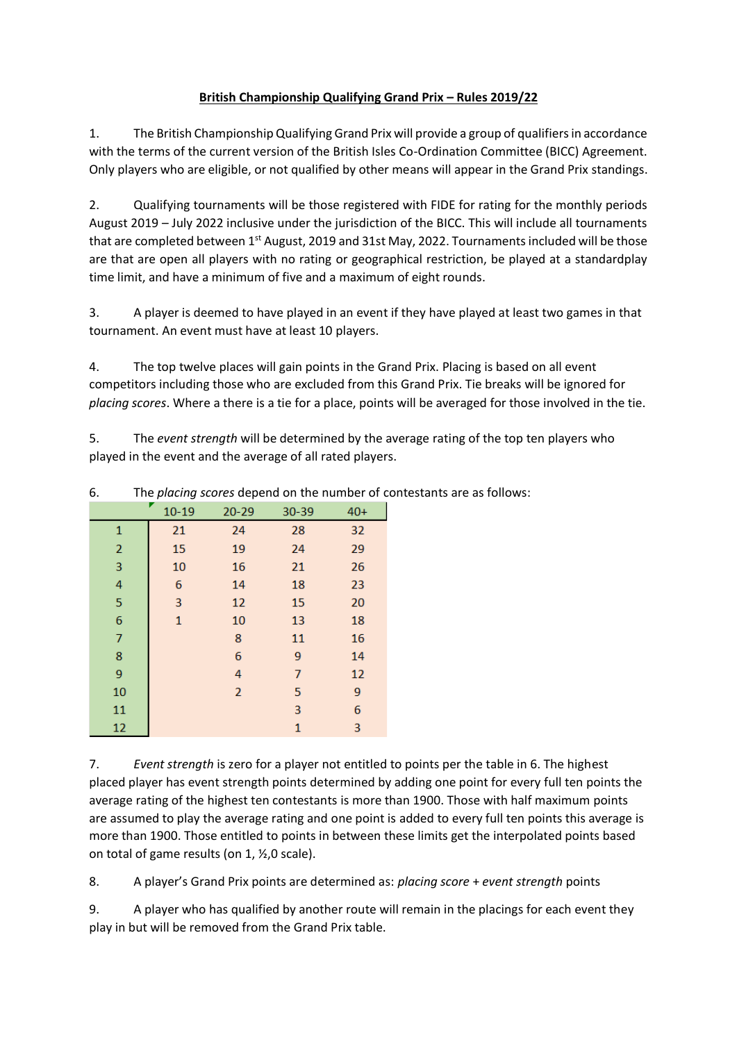## **British Championship Qualifying Grand Prix – Rules 2019/22**

1. The British Championship Qualifying Grand Prix will provide a group of qualifiers in accordance with the terms of the current version of the British Isles Co-Ordination Committee (BICC) Agreement. Only players who are eligible, or not qualified by other means will appear in the Grand Prix standings.

2. Qualifying tournaments will be those registered with FIDE for rating for the monthly periods August 2019 – July 2022 inclusive under the jurisdiction of the BICC. This will include all tournaments that are completed between 1<sup>st</sup> August, 2019 and 31st May, 2022. Tournaments included will be those are that are open all players with no rating or geographical restriction, be played at a standardplay time limit, and have a minimum of five and a maximum of eight rounds.

3. A player is deemed to have played in an event if they have played at least two games in that tournament. An event must have at least 10 players.

4. The top twelve places will gain points in the Grand Prix. Placing is based on all event competitors including those who are excluded from this Grand Prix. Tie breaks will be ignored for *placing scores*. Where a there is a tie for a place, points will be averaged for those involved in the tie.

5. The *event strength* will be determined by the average rating of the top ten players who played in the event and the average of all rated players.

| $10 - 19$<br>30-39<br>$20 - 29$<br>$40+$<br>21<br>24<br>28<br>32<br>$\mathbf{1}$<br>$\overline{2}$<br>15<br>29<br>19<br>24<br>3<br>10<br>26<br>16<br>21<br>4<br>23<br>14<br>18<br>6<br>5<br>20<br>3<br>12<br>15<br>6<br>10<br>18<br>$\mathbf 1$<br>13<br>7<br>8<br>16<br>11<br>6<br>8<br>14<br>9<br>9<br>12<br>4<br>7<br>$\overline{2}$<br>9<br>10<br>5<br>6<br>11<br>3<br>12<br>3<br>$\mathbf{1}$ | . פ |  |  |  |  |
|----------------------------------------------------------------------------------------------------------------------------------------------------------------------------------------------------------------------------------------------------------------------------------------------------------------------------------------------------------------------------------------------------|-----|--|--|--|--|
|                                                                                                                                                                                                                                                                                                                                                                                                    |     |  |  |  |  |
|                                                                                                                                                                                                                                                                                                                                                                                                    |     |  |  |  |  |
|                                                                                                                                                                                                                                                                                                                                                                                                    |     |  |  |  |  |
|                                                                                                                                                                                                                                                                                                                                                                                                    |     |  |  |  |  |
|                                                                                                                                                                                                                                                                                                                                                                                                    |     |  |  |  |  |
|                                                                                                                                                                                                                                                                                                                                                                                                    |     |  |  |  |  |
|                                                                                                                                                                                                                                                                                                                                                                                                    |     |  |  |  |  |
|                                                                                                                                                                                                                                                                                                                                                                                                    |     |  |  |  |  |
|                                                                                                                                                                                                                                                                                                                                                                                                    |     |  |  |  |  |
|                                                                                                                                                                                                                                                                                                                                                                                                    |     |  |  |  |  |
|                                                                                                                                                                                                                                                                                                                                                                                                    |     |  |  |  |  |
|                                                                                                                                                                                                                                                                                                                                                                                                    |     |  |  |  |  |
|                                                                                                                                                                                                                                                                                                                                                                                                    |     |  |  |  |  |

6. The *placing scores* depend on the number of contestants are as follows:

7. *Event strength* is zero for a player not entitled to points per the table in 6. The highest placed player has event strength points determined by adding one point for every full ten points the average rating of the highest ten contestants is more than 1900. Those with half maximum points are assumed to play the average rating and one point is added to every full ten points this average is more than 1900. Those entitled to points in between these limits get the interpolated points based on total of game results (on 1, ½,0 scale).

8. A player's Grand Prix points are determined as: *placing score* + *event strength* points

9. A player who has qualified by another route will remain in the placings for each event they play in but will be removed from the Grand Prix table.